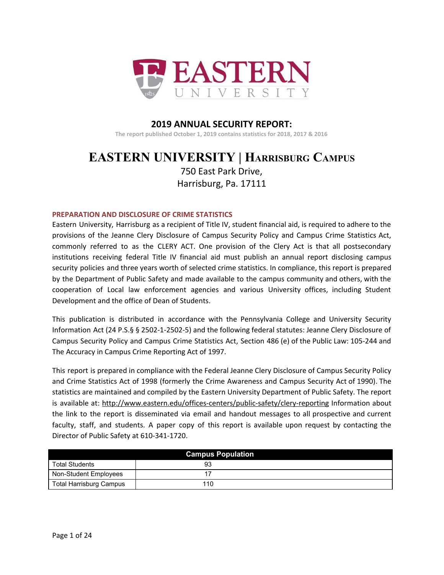

#### **2019 ANNUAL SECURITY REPORT: The report published October 1, 2019 contains statistics for 2018, 2017 & 2016**

# **EASTERN UNIVERSITY | HARRISBURG CAMPUS**

750 East Park Drive, Harrisburg, Pa. 17111

#### **PREPARATION AND DISCLOSURE OF CRIME STATISTICS**

Eastern University, Harrisburg as a recipient of Title IV, student financial aid, is required to adhere to the provisions of the Jeanne Clery Disclosure of Campus Security Policy and Campus Crime Statistics Act, commonly referred to as the CLERY ACT. One provision of the Clery Act is that all postsecondary institutions receiving federal Title IV financial aid must publish an annual report disclosing campus security policies and three years worth of selected crime statistics. In compliance, this report is prepared by the Department of Public Safety and made available to the campus community and others, with the cooperation of Local law enforcement agencies and various University offices, including Student Development and the office of Dean of Students.

This publication is distributed in accordance with the Pennsylvania College and University Security Information Act (24 P.S.§ § 2502-1-2502-5) and the following federal statutes: Jeanne Clery Disclosure of Campus Security Policy and Campus Crime Statistics Act, Section 486 (e) of the Public Law: 105-244 and The Accuracy in Campus Crime Reporting Act of 1997.

This report is prepared in compliance with the Federal Jeanne Clery Disclosure of Campus Security Policy and Crime Statistics Act of 1998 (formerly the Crime Awareness and Campus Security Act of 1990). The statistics are maintained and compiled by the Eastern University Department of Public Safety. The report is available at: <http://www.eastern.edu/offices-centers/public-safety/clery-reporting> Information about the link to the report is disseminated via email and handout messages to all prospective and current faculty, staff, and students. A paper copy of this report is available upon request by contacting the Director of Public Safety at 610-341-1720.

|                                | <b>Campus Population</b> |  |
|--------------------------------|--------------------------|--|
| <b>Total Students</b>          | 93                       |  |
| Non-Student Employees          |                          |  |
| <b>Total Harrisburg Campus</b> | 110                      |  |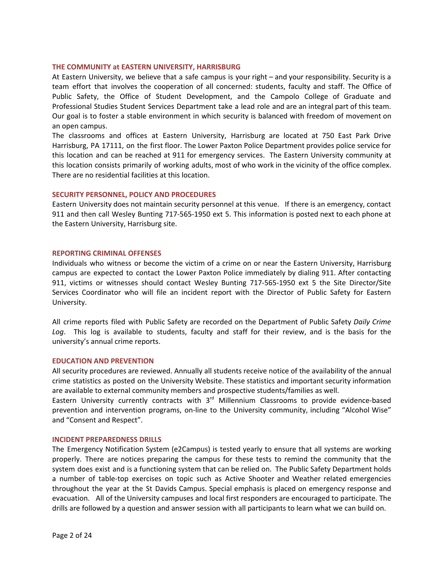#### **THE COMMUNITY at EASTERN UNIVERSITY, HARRISBURG**

At Eastern University, we believe that a safe campus is your right – and your responsibility. Security is a team effort that involves the cooperation of all concerned: students, faculty and staff. The Office of Public Safety, the Office of Student Development, and the Campolo College of Graduate and Professional Studies Student Services Department take a lead role and are an integral part of this team. Our goal is to foster a stable environment in which security is balanced with freedom of movement on an open campus.

The classrooms and offices at Eastern University, Harrisburg are located at 750 East Park Drive Harrisburg, PA 17111, on the first floor. The Lower Paxton Police Department provides police service for this location and can be reached at 911 for emergency services. The Eastern University community at this location consists primarily of working adults, most of who work in the vicinity of the office complex. There are no residential facilities at this location.

#### **SECURITY PERSONNEL, POLICY AND PROCEDURES**

Eastern University does not maintain security personnel at this venue. If there is an emergency, contact 911 and then call Wesley Bunting 717-565-1950 ext 5. This information is posted next to each phone at the Eastern University, Harrisburg site.

#### **REPORTING CRIMINAL OFFENSES**

Individuals who witness or become the victim of a crime on or near the Eastern University, Harrisburg campus are expected to contact the Lower Paxton Police immediately by dialing 911. After contacting 911, victims or witnesses should contact Wesley Bunting 717-565-1950 ext 5 the Site Director/Site Services Coordinator who will file an incident report with the Director of Public Safety for Eastern University.

All crime reports filed with Public Safety are recorded on the Department of Public Safety *Daily Crime Log*. This log is available to students, faculty and staff for their review, and is the basis for the university's annual crime reports.

#### **EDUCATION AND PREVENTION**

All security procedures are reviewed. Annually all students receive notice of the availability of the annual crime statistics as posted on the University Website. These statistics and important security information are available to external community members and prospective students/families as well.

Eastern University currently contracts with 3<sup>rd</sup> Millennium Classrooms to provide evidence-based prevention and intervention programs, on-line to the University community, including "Alcohol Wise" and "Consent and Respect".

#### **INCIDENT PREPAREDNESS DRILLS**

The Emergency Notification System (e2Campus) is tested yearly to ensure that all systems are working properly. There are notices preparing the campus for these tests to remind the community that the system does exist and is a functioning system that can be relied on. The Public Safety Department holds a number of table-top exercises on topic such as Active Shooter and Weather related emergencies throughout the year at the St Davids Campus. Special emphasis is placed on emergency response and evacuation. All of the University campuses and local first responders are encouraged to participate. The drills are followed by a question and answer session with all participants to learn what we can build on.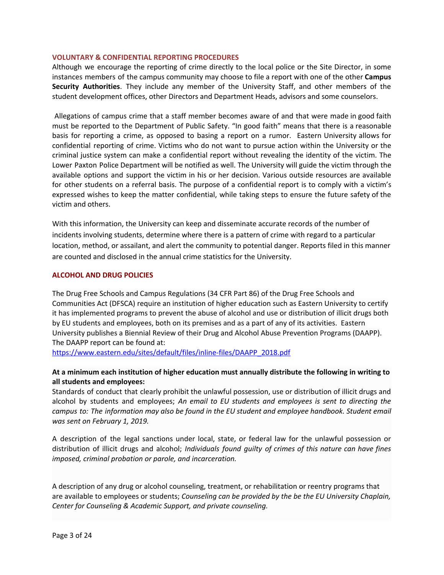#### **VOLUNTARY & CONFIDENTIAL REPORTING PROCEDURES**

Although we encourage the reporting of crime directly to the local police or the Site Director, in some instances members of the campus community may choose to file a report with one of the other **Campus Security Authorities**. They include any member of the University Staff, and other members of the student development offices, other Directors and Department Heads, advisors and some counselors.

Allegations of campus crime that a staff member becomes aware of and that were made in good faith must be reported to the Department of Public Safety. "In good faith" means that there is a reasonable basis for reporting a crime, as opposed to basing a report on a rumor. Eastern University allows for confidential reporting of crime. Victims who do not want to pursue action within the University or the criminal justice system can make a confidential report without revealing the identity of the victim. The Lower Paxton Police Department will be notified as well. The University will guide the victim through the available options and support the victim in his or her decision. Various outside resources are available for other students on a referral basis. The purpose of a confidential report is to comply with a victim's expressed wishes to keep the matter confidential, while taking steps to ensure the future safety of the victim and others.

With this information, the University can keep and disseminate accurate records of the number of incidents involving students, determine where there is a pattern of crime with regard to a particular location, method, or assailant, and alert the community to potential danger. Reports filed in this manner are counted and disclosed in the annual crime statistics for the University.

#### **ALCOHOL AND DRUG POLICIES**

The Drug Free Schools and Campus Regulations (34 CFR Part 86) of the Drug Free Schools and Communities Act (DFSCA) require an institution of higher education such as Eastern University to certify it has implemented programs to prevent the abuse of alcohol and use or distribution of illicit drugs both by EU students and employees, both on its premises and as a part of any of its activities. Eastern University publishes a Biennial Review of their Drug and Alcohol Abuse Prevention Programs (DAAPP). The DAAPP report can be found at:

[https://www.eastern.edu/sites/default/files/inline-files/DAAPP\\_2018.pdf](https://www.eastern.edu/sites/default/files/inline-files/DAAPP_2018.pdf)

#### **At a minimum each institution of higher education must annually distribute the following in writing to all students and employees:**

Standards of conduct that clearly prohibit the unlawful possession, use or distribution of illicit drugs and alcohol by students and employees; *An email to EU students and employees is sent to directing the campus to: The information may also be found in the EU student and employee handbook. Student email was sent on February 1, 2019.*

A description of the legal sanctions under local, state, or federal law for the unlawful possession or distribution of illicit drugs and alcohol; *Individuals found guilty of crimes of this nature can have fines imposed, criminal probation or parole, and incarceration.*

A description of any drug or alcohol counseling, treatment, or rehabilitation or reentry programs that are available to employees or students; *Counseling can be provided by the be the EU University Chaplain, Center for Counseling & Academic Support, and private counseling.*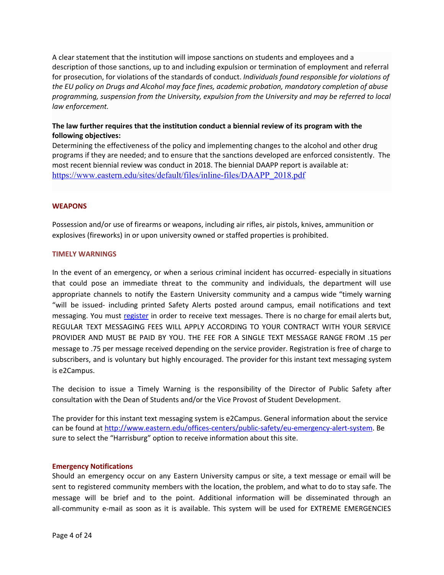A clear statement that the institution will impose sanctions on students and employees and a description of those sanctions, up to and including expulsion or termination of employment and referral for prosecution, for violations of the standards of conduct. *Individuals found responsible for violations of the EU policy on Drugs and Alcohol may face fines, academic probation, mandatory completion of abuse programming, suspension from the University, expulsion from the University and may be referred to local law enforcement.*

#### **The law further requires that the institution conduct a biennial review of its program with the following objectives:**

Determining the effectiveness of the policy and implementing changes to the alcohol and other drug programs if they are needed; and to ensure that the sanctions developed are enforced consistently. The most recent biennial review was conduct in 2018. The biennial DAAPP report is available at: [https://www.eastern.edu/sites/default/files/inline-files/DAAPP\\_2018.pdf](https://www.eastern.edu/sites/default/files/inline-files/DAAPP_2018.pdf)

#### **WEAPONS**

Possession and/or use of firearms or weapons, including air rifles, air pistols, knives, ammunition or explosives (fireworks) in or upon university owned or staffed properties is prohibited.

#### **TIMELY WARNINGS**

In the event of an emergency, or when a serious criminal incident has occurred- especially in situations that could pose an immediate threat to the community and individuals, the department will use appropriate channels to notify the Eastern University community and a campus wide "timely warning "will be issued- including printed Safety Alerts posted around campus, email notifications and text messaging. You must [register](http://www.eastern.edu/offices-centers/safety-and-security/eu-emergency-alert-system-0) in order to receive text messages. There is no charge for email alerts but, REGULAR TEXT MESSAGING FEES WILL APPLY ACCORDING TO YOUR CONTRACT WITH YOUR SERVICE PROVIDER AND MUST BE PAID BY YOU. THE FEE FOR A SINGLE TEXT MESSAGE RANGE FROM .15 per message to .75 per message received depending on the service provider. Registration is free of charge to subscribers, and is voluntary but highly encouraged. The provider for this instant text messaging system is e2Campus.

The decision to issue a Timely Warning is the responsibility of the Director of Public Safety after consultation with the Dean of Students and/or the Vice Provost of Student Development.

The provider for this instant text messaging system is e2Campus. General information about the service can be found at [http://www.eastern.edu/offices-centers/public-safety/eu-emergency-alert-system.](http://www.eastern.edu/offices-centers/public-safety/eu-emergency-alert-system) Be sure to select the "Harrisburg" option to receive information about this site.

#### **Emergency Notifications**

Should an emergency occur on any Eastern University campus or site, a text message or email will be sent to registered community members with the location, the problem, and what to do to stay safe. The message will be brief and to the point. Additional information will be disseminated through an all-community e-mail as soon as it is available. This system will be used for EXTREME EMERGENCIES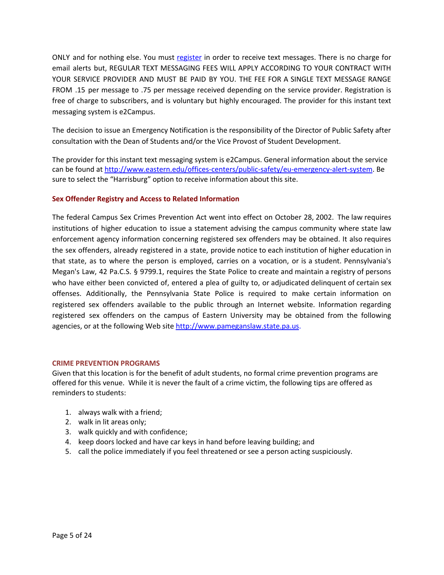ONLY and for nothing else. You must [register](http://www.eastern.edu/offices-centers/safety-and-security/eu-emergency-alert-system-0) in order to receive text messages. There is no charge for email alerts but, REGULAR TEXT MESSAGING FEES WILL APPLY ACCORDING TO YOUR CONTRACT WITH YOUR SERVICE PROVIDER AND MUST BE PAID BY YOU. THE FEE FOR A SINGLE TEXT MESSAGE RANGE FROM .15 per message to .75 per message received depending on the service provider. Registration is free of charge to subscribers, and is voluntary but highly encouraged. The provider for this instant text messaging system is e2Campus.

The decision to issue an Emergency Notification is the responsibility of the Director of Public Safety after consultation with the Dean of Students and/or the Vice Provost of Student Development.

The provider for this instant text messaging system is e2Campus. General information about the service can be found at [http://www.eastern.edu/offices-centers/public-safety/eu-emergency-alert-system.](http://www.eastern.edu/offices-centers/public-safety/eu-emergency-alert-system) Be sure to select the "Harrisburg" option to receive information about this site.

#### **Sex Offender Registry and Access to Related Information**

The federal Campus Sex Crimes Prevention Act went into effect on October 28, 2002. The law requires institutions of higher education to issue a statement advising the campus community where state law enforcement agency information concerning registered sex offenders may be obtained. It also requires the sex offenders, already registered in a state, provide notice to each institution of higher education in that state, as to where the person is employed, carries on a vocation, or is a student. Pennsylvania's Megan's Law, 42 Pa.C.S. § 9799.1, requires the State Police to create and maintain a registry of persons who have either been convicted of, entered a plea of guilty to, or adjudicated delinquent of certain sex offenses. Additionally, the Pennsylvania State Police is required to make certain information on registered sex offenders available to the public through an Internet website. Information regarding registered sex offenders on the campus of Eastern University may be obtained from the following agencies, or at the following Web site [http://www.pameganslaw.state.pa.us](http://www.pameganslaw.state.pa.us/).

#### **CRIME PREVENTION PROGRAMS**

Given that this location is for the benefit of adult students, no formal crime prevention programs are offered for this venue. While it is never the fault of a crime victim, the following tips are offered as reminders to students:

- 1. always walk with a friend;
- 2. walk in lit areas only;
- 3. walk quickly and with confidence;
- 4. keep doors locked and have car keys in hand before leaving building; and
- 5. call the police immediately if you feel threatened or see a person acting suspiciously.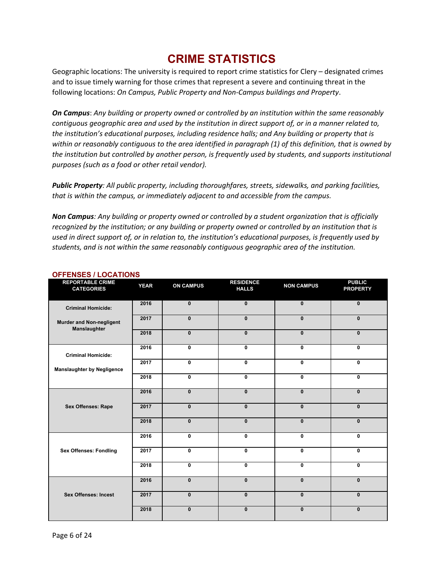# **CRIME STATISTICS**

Geographic locations: The university is required to report crime statistics for Clery – designated crimes and to issue timely warning for those crimes that represent a severe and continuing threat in the following locations: *On Campus, Public Property and Non-Campus buildings and Property*.

*On Campus*: *Any building or property owned or controlled by an institution within the same reasonably* contiguous geographic area and used by the institution in direct support of, or in a manner related to, *the institution's educational purposes, including residence halls; and Any building or property that is* within or reasonably contiguous to the area identified in paragraph (1) of this definition, that is owned by *the institution but controlled by another person, is frequently used by students, and supports institutional purposes (such as a food or other retail vendor).*

*Public Property: All public property, including thoroughfares, streets, sidewalks, and parking facilities, that is within the campus, or immediately adjacent to and accessible from the campus.*

*Non Campus: Any building or property owned or controlled by a student organization that is officially recognized by the institution; or any building or property owned or controlled by an institution that is* used in direct support of, or in relation to, the institution's educational purposes, is frequently used by *students, and is not within the same reasonably contiguous geographic area of the institution.*

| <b>REPORTABLE CRIME</b><br><b>CATEGORIES</b>    | <b>YEAR</b> | <b>ON CAMPUS</b> | <b>RESIDENCE</b><br><b>HALLS</b> | <b>NON CAMPUS</b> | <b>PUBLIC</b><br><b>PROPERTY</b> |
|-------------------------------------------------|-------------|------------------|----------------------------------|-------------------|----------------------------------|
|                                                 |             |                  |                                  |                   |                                  |
| <b>Criminal Homicide:</b>                       | 2016        | $\mathbf{0}$     | $\mathbf{0}$                     | $\mathbf{0}$      | $\mathbf{0}$                     |
| <b>Murder and Non-negligent</b><br>Manslaughter | 2017        | $\mathbf{0}$     | $\mathbf{0}$                     | $\mathbf{0}$      | $\mathbf{0}$                     |
|                                                 | 2018        | $\mathbf{0}$     | $\mathbf{0}$                     | $\mathbf{0}$      | $\mathbf{0}$                     |
| <b>Criminal Homicide:</b>                       | 2016        | 0                | 0                                | $\mathbf 0$       | 0                                |
| <b>Manslaughter by Negligence</b>               | 2017        | 0                | $\mathbf 0$                      | $\mathbf 0$       | 0                                |
|                                                 | 2018        | $\mathbf{0}$     | $\mathbf{0}$                     | $\mathbf{0}$      | $\mathbf{0}$                     |
|                                                 | 2016        | $\mathbf{0}$     | $\mathbf{0}$                     | $\mathbf{0}$      | $\mathbf{0}$                     |
| <b>Sex Offenses: Rape</b>                       | 2017        | $\mathbf{0}$     | $\mathbf{0}$                     | $\mathbf{0}$      | $\mathbf{0}$                     |
|                                                 | 2018        | $\mathbf{0}$     | $\mathbf{0}$                     | $\mathbf{0}$      | $\mathbf{0}$                     |
|                                                 | 2016        | $\mathbf{0}$     | $\mathbf{0}$                     | 0                 | $\mathbf{0}$                     |
| <b>Sex Offenses: Fondling</b>                   | 2017        | 0                | $\mathbf 0$                      | 0                 | 0                                |
|                                                 | 2018        | 0                | $\mathbf 0$                      | $\mathbf 0$       | 0                                |
|                                                 | 2016        | $\mathbf{0}$     | $\mathbf{0}$                     | $\mathbf{0}$      | $\mathbf{0}$                     |
| <b>Sex Offenses: Incest</b>                     | 2017        | $\mathbf{0}$     | $\bf{0}$                         | $\mathbf{0}$      | $\mathbf{0}$                     |
|                                                 | 2018        | $\mathbf{0}$     | $\mathbf{0}$                     | $\mathbf{0}$      | $\mathbf{0}$                     |

#### **OFFENSES / LOCATIONS**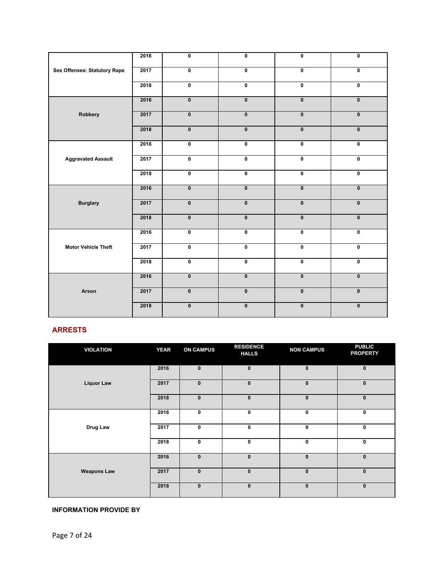|                                     | 2016 | $\pmb{0}$               | 0                       | $\pmb{0}$               | $\pmb{0}$               |
|-------------------------------------|------|-------------------------|-------------------------|-------------------------|-------------------------|
| <b>Sex Offenses: Statutory Rape</b> | 2017 | $\overline{\mathbf{0}}$ | 0                       | $\overline{\mathbf{0}}$ | $\overline{\mathbf{0}}$ |
|                                     | 2018 | $\overline{\mathbf{0}}$ | 0                       | $\overline{\mathbf{0}}$ | $\overline{\mathbf{0}}$ |
|                                     | 2016 | $\mathbf{0}$            | $\mathbf{0}$            | $\mathbf{0}$            | $\mathbf{0}$            |
| Robbery                             | 2017 | $\pmb{0}$               | $\pmb{0}$               | $\mathbf 0$             | $\mathbf 0$             |
|                                     | 2018 | $\pmb{0}$               | $\pmb{0}$               | $\overline{\mathbf{0}}$ | $\pmb{0}$               |
|                                     | 2016 | $\pmb{0}$               | 0                       | $\pmb{0}$               | $\pmb{0}$               |
| <b>Aggravated Assault</b>           | 2017 | $\overline{\mathbf{0}}$ | $\overline{\mathbf{0}}$ | $\pmb{0}$               | $\pmb{0}$               |
|                                     | 2018 | $\overline{\mathbf{0}}$ | $\overline{\mathbf{0}}$ | $\overline{\mathbf{0}}$ | $\overline{\mathbf{0}}$ |
|                                     | 2016 | $\overline{\mathbf{0}}$ | $\mathbf{0}$            | $\mathbf{0}$            | $\mathbf{0}$            |
| <b>Burglary</b>                     | 2017 | $\mathbf{0}$            | $\pmb{0}$               | $\mathbf{0}$            | $\pmb{0}$               |
|                                     | 2018 | $\mathbf{0}$            | $\mathbf{0}$            | $\mathbf{0}$            | $\mathbf{0}$            |
|                                     | 2016 | $\overline{\mathbf{0}}$ | 0                       | $\pmb{0}$               | $\pmb{0}$               |
| <b>Motor Vehicle Theft</b>          | 2017 | $\overline{\mathbf{0}}$ | 0                       | $\pmb{0}$               | $\pmb{0}$               |
|                                     | 2018 | $\overline{\mathbf{0}}$ | $\overline{\mathbf{0}}$ | $\overline{\mathbf{0}}$ | $\pmb{0}$               |
|                                     | 2016 | $\pmb{0}$               | $\pmb{0}$               | $\overline{\mathbf{0}}$ | $\pmb{0}$               |
| Arson                               | 2017 | $\pmb{0}$               | $\pmb{0}$               | $\overline{\mathbf{0}}$ | $\pmb{0}$               |
|                                     | 2018 | $\pmb{0}$               | $\pmb{0}$               | $\pmb{0}$               | $\pmb{0}$               |

# **ARRESTS**

| <b>VIOLATION</b>   | <b>YEAR</b> | <b>ON CAMPUS</b> | <b>RESIDENCE</b><br><b>HALLS</b> | <b>NON CAMPUS</b> | <b>PUBLIC</b><br><b>PROPERTY</b> |
|--------------------|-------------|------------------|----------------------------------|-------------------|----------------------------------|
|                    | 2016        | $\pmb{0}$        | $\mathbf{0}$                     | $\mathbf{0}$      | $\mathbf{0}$                     |
| <b>Liquor Law</b>  | 2017        | $\pmb{0}$        | $\mathbf{0}$                     | $\mathbf{0}$      | $\pmb{0}$                        |
|                    | 2018        | $\mathbf{0}$     | $\bf{0}$                         | $\mathbf{0}$      | $\mathbf{0}$                     |
|                    | 2016        | 0                | 0                                | 0                 | 0                                |
| Drug Law           | 2017        | $\mathbf 0$      | 0                                | $\mathbf 0$       | $\mathbf 0$                      |
|                    | 2018        | $\pmb{0}$        | 0                                | $\mathbf 0$       | $\pmb{0}$                        |
|                    | 2016        | $\bf{0}$         | $\mathbf{0}$                     | $\mathbf{0}$      | $\mathbf{0}$                     |
| <b>Weapons Law</b> | 2017        | $\mathbf{0}$     | $\mathbf{0}$                     | $\mathbf{0}$      | $\mathbf{0}$                     |
|                    | 2018        | $\bf{0}$         | $\mathbf{0}$                     | $\bf{0}$          | $\pmb{0}$                        |

#### **INFORMATION PROVIDE BY**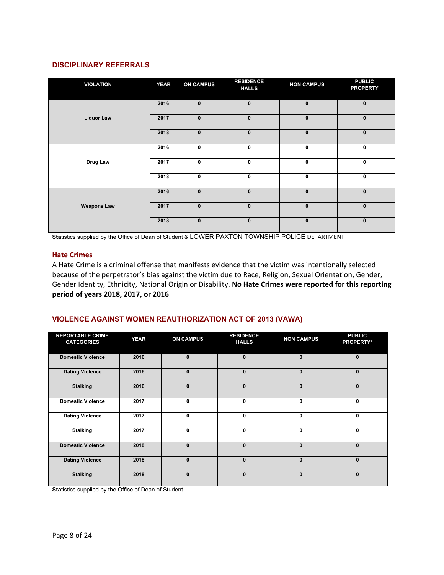#### **DISCIPLINARY REFERRALS**

| <b>VIOLATION</b>   | <b>YEAR</b> | <b>ON CAMPUS</b> | <b>RESIDENCE</b><br><b>HALLS</b> | <b>NON CAMPUS</b> | <b>PUBLIC</b><br><b>PROPERTY</b> |
|--------------------|-------------|------------------|----------------------------------|-------------------|----------------------------------|
|                    | 2016        | $\mathbf{0}$     | $\mathbf{0}$                     | $\mathbf{0}$      | $\mathbf{0}$                     |
| <b>Liquor Law</b>  | 2017        | $\pmb{0}$        | $\mathbf{0}$                     | $\mathbf 0$       | $\mathbf 0$                      |
|                    | 2018        | $\pmb{0}$        | $\mathbf{0}$                     | $\mathbf{0}$      | $\bf{0}$                         |
|                    | 2016        | 0                | 0                                | $\mathbf 0$       | $\mathbf 0$                      |
| Drug Law           | 2017        | 0                | 0                                | $\bf{0}$          | $\mathbf 0$                      |
|                    | 2018        | $\mathbf 0$      | 0                                | $\mathbf 0$       | $\mathbf 0$                      |
|                    | 2016        | $\pmb{0}$        | $\bf{0}$                         | $\bf{0}$          | $\mathbf 0$                      |
| <b>Weapons Law</b> | 2017        | $\bf{0}$         | $\mathbf{0}$                     | $\mathbf{0}$      | $\mathbf{0}$                     |
|                    | 2018        | $\pmb{0}$        | $\mathbf{0}$                     | $\mathbf 0$       | $\mathbf 0$                      |

**Sta**tistics supplied by the Office of Dean of Student & LOWER PAXTON TOWNSHIP POLICE DEPARTMENT

#### **Hate Crimes**

A Hate Crime is a criminal offense that manifests evidence that the victim was intentionally selected because of the perpetrator's bias against the victim due to Race, Religion, Sexual Orientation, Gender, Gender Identity, Ethnicity, National Origin or Disability. **No Hate Crimes were reported for this reporting period of years 2018, 2017, or 2016**

#### **VIOLENCE AGAINST WOMEN REAUTHORIZATION ACT OF 2013 (VAWA)**

| <b>REPORTABLE CRIME</b><br><b>CATEGORIES</b> | <b>YEAR</b> | <b>ON CAMPUS</b> | <b>RESIDENCE</b><br><b>HALLS</b> | <b>NON CAMPUS</b> | <b>PUBLIC</b><br><b>PROPERTY*</b> |
|----------------------------------------------|-------------|------------------|----------------------------------|-------------------|-----------------------------------|
| <b>Domestic Violence</b>                     | 2016        | $\mathbf{0}$     | $\mathbf{0}$                     | $\mathbf{0}$      | $\mathbf{0}$                      |
| <b>Dating Violence</b>                       | 2016        | $\mathbf{0}$     | $\Omega$                         | $\mathbf{0}$      | $\mathbf{0}$                      |
| <b>Stalking</b>                              | 2016        | $\mathbf{0}$     | $\bf{0}$                         | $\mathbf{0}$      | $\bf{0}$                          |
| <b>Domestic Violence</b>                     | 2017        | $\mathbf{0}$     | $\mathbf{0}$                     | $\mathbf{0}$      | 0                                 |
| <b>Dating Violence</b>                       | 2017        | $\mathbf{0}$     | 0                                | 0                 | $\mathbf{0}$                      |
| <b>Stalking</b>                              | 2017        | $\mathbf{0}$     | 0                                | $\mathbf{0}$      | 0                                 |
| <b>Domestic Violence</b>                     | 2018        | $\mathbf{0}$     | $\mathbf{0}$                     | $\Omega$          | $\Omega$                          |
| <b>Dating Violence</b>                       | 2018        | $\mathbf{0}$     | $\bf{0}$                         | $\mathbf{0}$      | $\mathbf{0}$                      |
| <b>Stalking</b>                              | 2018        | $\mathbf{0}$     | $\bf{0}$                         | $\Omega$          | $\mathbf{0}$                      |

**Sta**tistics supplied by the Office of Dean of Student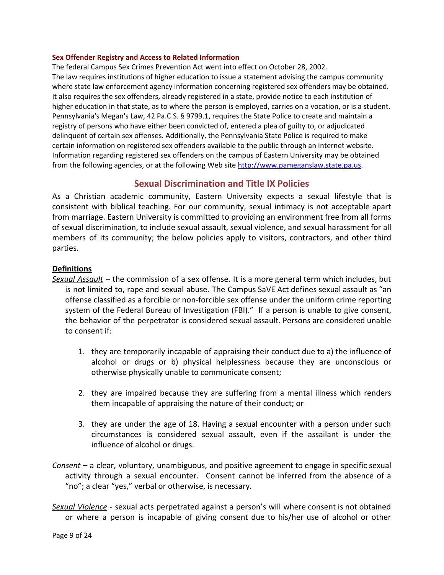#### **Sex Offender Registry and Access to Related Information**

The federal Campus Sex Crimes Prevention Act went into effect on October 28, 2002. The law requires institutions of higher education to issue a statement advising the campus community where state law enforcement agency information concerning registered sex offenders may be obtained. It also requires the sex offenders, already registered in a state, provide notice to each institution of higher education in that state, as to where the person is employed, carries on a vocation, or is a student. Pennsylvania's Megan's Law, 42 Pa.C.S. § 9799.1, requires the State Police to create and maintain a registry of persons who have either been convicted of, entered a plea of guilty to, or adjudicated delinquent of certain sex offenses. Additionally, the Pennsylvania State Police is required to make certain information on registered sex offenders available to the public through an Internet website. Information regarding registered sex offenders on the campus of Eastern University may be obtained from the following agencies, or at the following Web site [http://www.pameganslaw.state.pa.us](http://www.pameganslaw.state.pa.us/).

# **Sexual Discrimination and Title IX Policies**

As a Christian academic community, Eastern University expects a sexual lifestyle that is consistent with biblical teaching. For our community, sexual intimacy is not acceptable apart from marriage. Eastern University is committed to providing an environment free from all forms of sexual discrimination, to include sexual assault, sexual violence, and sexual harassment for all members of its community; the below policies apply to visitors, contractors, and other third parties.

#### **Definitions**

*Sexual Assault* – the commission of a sex offense. It is a more general term which includes, but is not limited to, rape and sexual abuse. The Campus SaVE Act defines sexual assault as "an offense classified as a forcible or non-forcible sex offense under the uniform crime reporting system of the Federal Bureau of Investigation (FBI)." If a person is unable to give consent, the behavior of the perpetrator is considered sexual assault. Persons are considered unable to consent if:

- 1. they are temporarily incapable of appraising their conduct due to a) the influence of alcohol or drugs or b) physical helplessness because they are unconscious or otherwise physically unable to communicate consent;
- 2. they are impaired because they are suffering from a mental illness which renders them incapable of appraising the nature of their conduct; or
- 3. they are under the age of 18. Having a sexual encounter with a person under such circumstances is considered sexual assault, even if the assailant is under the influence of alcohol or drugs.
- *Consent* a clear, voluntary, unambiguous, and positive agreement to engage in specific sexual activity through a sexual encounter. Consent cannot be inferred from the absence of a "no"; a clear "yes," verbal or otherwise, is necessary.

*Sexual Violence* - sexual acts perpetrated against a person's will where consent is not obtained or where a person is incapable of giving consent due to his/her use of alcohol or other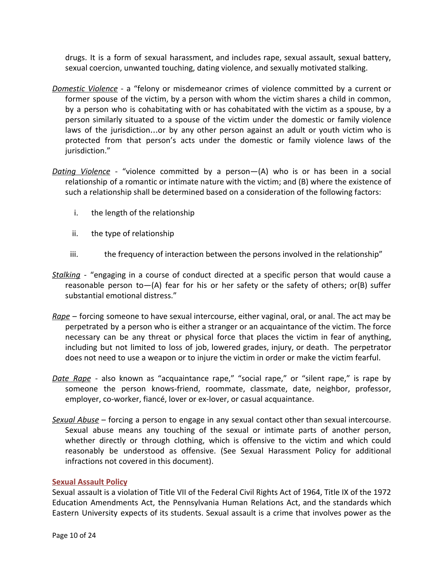drugs. It is a form of sexual harassment, and includes rape, sexual assault, sexual battery, sexual coercion, unwanted touching, dating violence, and sexually motivated stalking.

- *Domestic Violence* a "felony or misdemeanor crimes of violence committed by a current or former spouse of the victim, by a person with whom the victim shares a child in common, by a person who is cohabitating with or has cohabitated with the victim as a spouse, by a person similarly situated to a spouse of the victim under the domestic or family violence laws of the jurisdiction…or by any other person against an adult or youth victim who is protected from that person's acts under the domestic or family violence laws of the jurisdiction."
- *Dating Violence* "violence committed by a person—(A) who is or has been in a social relationship of a romantic or intimate nature with the victim; and (B) where the existence of such a relationship shall be determined based on a consideration of the following factors:
	- i. the length of the relationship
	- ii. the type of relationship
	- iii. the frequency of interaction between the persons involved in the relationship"
- *Stalking -* "engaging in a course of conduct directed at a specific person that would cause a reasonable person to  $-(A)$  fear for his or her safety or the safety of others; or (B) suffer substantial emotional distress."
- *Rape* forcing someone to have sexual intercourse, either vaginal, oral, or anal. The act may be perpetrated by a person who is either a stranger or an acquaintance of the victim. The force necessary can be any threat or physical force that places the victim in fear of anything, including but not limited to loss of job, lowered grades, injury, or death. The perpetrator does not need to use a weapon or to injure the victim in order or make the victim fearful.
- *Date Rape* also known as "acquaintance rape," "social rape," or "silent rape," is rape by someone the person knows-friend, roommate, classmate, date, neighbor, professor, employer, co-worker, fiancé, lover or ex-lover, or casual acquaintance.
- *Sexual Abuse* forcing a person to engage in any sexual contact other than sexual intercourse. Sexual abuse means any touching of the sexual or intimate parts of another person, whether directly or through clothing, which is offensive to the victim and which could reasonably be understood as offensive. (See Sexual Harassment Policy for additional infractions not covered in this document).

# **Sexual Assault Policy**

Sexual assault is a violation of Title VII of the Federal Civil Rights Act of 1964, Title IX of the 1972 Education Amendments Act, the Pennsylvania Human Relations Act, and the standards which Eastern University expects of its students. Sexual assault is a crime that involves power as the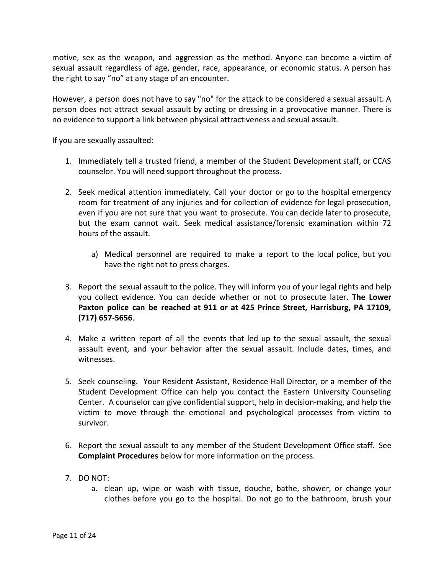motive, sex as the weapon, and aggression as the method. Anyone can become a victim of sexual assault regardless of age, gender, race, appearance, or economic status. A person has the right to say "no" at any stage of an encounter.

However, a person does not have to say "no" for the attack to be considered a sexual assault. A person does not attract sexual assault by acting or dressing in a provocative manner. There is no evidence to support a link between physical attractiveness and sexual assault.

If you are sexually assaulted:

- 1. Immediately tell a trusted friend, a member of the Student Development staff, or CCAS counselor. You will need support throughout the process.
- 2. Seek medical attention immediately. Call your doctor or go to the hospital emergency room for treatment of any injuries and for collection of evidence for legal prosecution, even if you are not sure that you want to prosecute. You can decide later to prosecute, but the exam cannot wait. Seek medical assistance/forensic examination within 72 hours of the assault.
	- a) Medical personnel are required to make a report to the local police, but you have the right not to press charges.
- 3. Report the sexual assault to the police. They will inform you of your legal rights and help you collect evidence. You can decide whether or not to prosecute later. **The Lower Paxton police can be reached at 911 or at 425 Prince Street, Harrisburg, PA 17109, (717) 657-5656**.
- 4. Make a written report of all the events that led up to the sexual assault, the sexual assault event, and your behavior after the sexual assault. Include dates, times, and witnesses.
- 5. Seek counseling. Your Resident Assistant, Residence Hall Director, or a member of the Student Development Office can help you contact the Eastern University Counseling Center. A counselor can give confidential support, help in decision-making, and help the victim to move through the emotional and psychological processes from victim to survivor.
- 6. Report the sexual assault to any member of the Student Development Office staff. See **Complaint Procedures** below for more information on the process.
- 7. DO NOT:
	- a. clean up, wipe or wash with tissue, douche, bathe, shower, or change your clothes before you go to the hospital. Do not go to the bathroom, brush your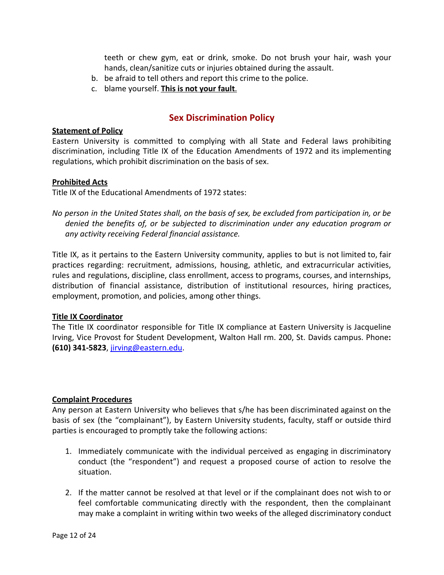teeth or chew gym, eat or drink, smoke. Do not brush your hair, wash your hands, clean/sanitize cuts or injuries obtained during the assault.

- b. be afraid to tell others and report this crime to the police.
- c. blame yourself. **This is not your fault**.

# **Sex Discrimination Policy**

#### **Statement of Policy**

Eastern University is committed to complying with all State and Federal laws prohibiting discrimination, including Title IX of the Education Amendments of 1972 and its implementing regulations, which prohibit discrimination on the basis of sex.

#### **Prohibited Acts**

Title IX of the Educational Amendments of 1972 states:

No person in the United States shall, on the basis of sex, be excluded from participation in, or be *denied the benefits of, or be subjected to discrimination under any education program or any activity receiving Federal financial assistance.*

Title IX, as it pertains to the Eastern University community, applies to but is not limited to, fair practices regarding: recruitment, admissions, housing, athletic, and extracurricular activities, rules and regulations, discipline, class enrollment, access to programs, courses, and internships, distribution of financial assistance, distribution of institutional resources, hiring practices, employment, promotion, and policies, among other things.

#### **Title IX Coordinator**

The Title IX coordinator responsible for Title IX compliance at Eastern University is Jacqueline Irving, Vice Provost for Student Development, Walton Hall rm. 200, St. Davids campus. Phone**: (610) 341-5823**, [jirving@eastern.edu](mailto:jirving@eastern.edu).

# **Complaint Procedures**

Any person at Eastern University who believes that s/he has been discriminated against on the basis of sex (the "complainant"), by Eastern University students, faculty, staff or outside third parties is encouraged to promptly take the following actions:

- 1. Immediately communicate with the individual perceived as engaging in discriminatory conduct (the "respondent") and request a proposed course of action to resolve the situation.
- 2. If the matter cannot be resolved at that level or if the complainant does not wish to or feel comfortable communicating directly with the respondent, then the complainant may make a complaint in writing within two weeks of the alleged discriminatory conduct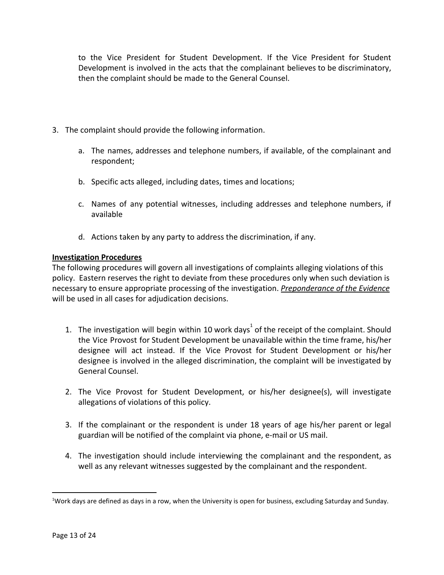to the Vice President for Student Development. If the Vice President for Student Development is involved in the acts that the complainant believes to be discriminatory, then the complaint should be made to the General Counsel.

- 3. The complaint should provide the following information.
	- a. The names, addresses and telephone numbers, if available, of the complainant and respondent;
	- b. Specific acts alleged, including dates, times and locations;
	- c. Names of any potential witnesses, including addresses and telephone numbers, if available
	- d. Actions taken by any party to address the discrimination, if any.

# **Investigation Procedures**

The following procedures will govern all investigations of complaints alleging violations of this policy. Eastern reserves the right to deviate from these procedures only when such deviation is necessary to ensure appropriate processing of the investigation. *Preponderance of the Evidence* will be used in all cases for adjudication decisions.

- 1. The investigation will begin within 10 work days of the receipt of the complaint. Should the Vice Provost for Student Development be unavailable within the time frame, his/her designee will act instead. If the Vice Provost for Student Development or his/her designee is involved in the alleged discrimination, the complaint will be investigated by General Counsel.
- 2. The Vice Provost for Student Development, or his/her designee(s), will investigate allegations of violations of this policy.
- 3. If the complainant or the respondent is under 18 years of age his/her parent or legal guardian will be notified of the complaint via phone, e-mail or US mail.
- 4. The investigation should include interviewing the complainant and the respondent, as well as any relevant witnesses suggested by the complainant and the respondent.

<sup>&</sup>lt;sup>1</sup>Work days are defined as days in a row, when the University is open for business, excluding Saturday and Sunday.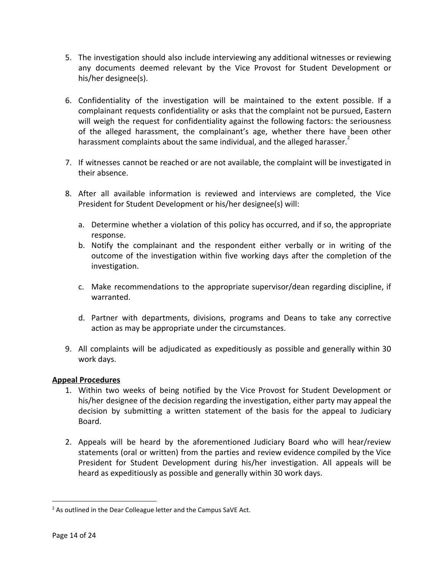- 5. The investigation should also include interviewing any additional witnesses or reviewing any documents deemed relevant by the Vice Provost for Student Development or his/her designee(s).
- 6. Confidentiality of the investigation will be maintained to the extent possible. If a complainant requests confidentiality or asks that the complaint not be pursued, Eastern will weigh the request for confidentiality against the following factors: the seriousness of the alleged harassment, the complainant's age, whether there have been other harassment complaints about the same individual, and the alleged harasser. $2$
- 7. If witnesses cannot be reached or are not available, the complaint will be investigated in their absence.
- 8. After all available information is reviewed and interviews are completed, the Vice President for Student Development or his/her designee(s) will:
	- a. Determine whether a violation of this policy has occurred, and if so, the appropriate response.
	- b. Notify the complainant and the respondent either verbally or in writing of the outcome of the investigation within five working days after the completion of the investigation.
	- c. Make recommendations to the appropriate supervisor/dean regarding discipline, if warranted.
	- d. Partner with departments, divisions, programs and Deans to take any corrective action as may be appropriate under the circumstances.
- 9. All complaints will be adjudicated as expeditiously as possible and generally within 30 work days.

# **Appeal Procedures**

- 1. Within two weeks of being notified by the Vice Provost for Student Development or his/her designee of the decision regarding the investigation, either party may appeal the decision by submitting a written statement of the basis for the appeal to Judiciary Board.
- 2. Appeals will be heard by the aforementioned Judiciary Board who will hear/review statements (oral or written) from the parties and review evidence compiled by the Vice President for Student Development during his/her investigation. All appeals will be heard as expeditiously as possible and generally within 30 work days.

<sup>&</sup>lt;sup>2</sup> As outlined in the Dear Colleague letter and the Campus SaVE Act.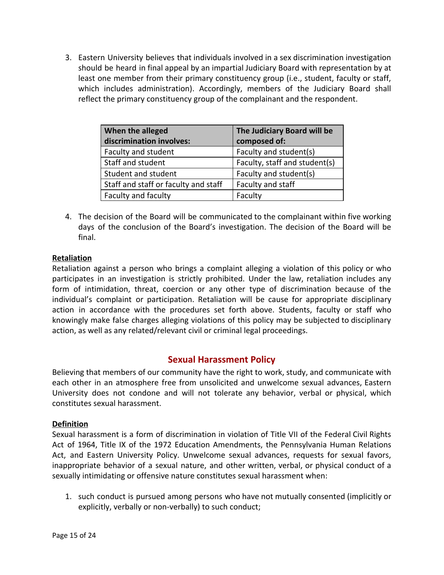3. Eastern University believes that individuals involved in a sex discrimination investigation should be heard in final appeal by an impartial Judiciary Board with representation by at least one member from their primary constituency group (i.e., student, faculty or staff, which includes administration). Accordingly, members of the Judiciary Board shall reflect the primary constituency group of the complainant and the respondent.

| When the alleged<br>discrimination involves: | The Judiciary Board will be<br>composed of: |
|----------------------------------------------|---------------------------------------------|
| Faculty and student                          | Faculty and student(s)                      |
| Staff and student                            | Faculty, staff and student(s)               |
| Student and student                          | Faculty and student(s)                      |
| Staff and staff or faculty and staff         | Faculty and staff                           |
| Faculty and faculty                          | Faculty                                     |

4. The decision of the Board will be communicated to the complainant within five working days of the conclusion of the Board's investigation. The decision of the Board will be final.

# **Retaliation**

Retaliation against a person who brings a complaint alleging a violation of this policy or who participates in an investigation is strictly prohibited. Under the law, retaliation includes any form of intimidation, threat, coercion or any other type of discrimination because of the individual's complaint or participation. Retaliation will be cause for appropriate disciplinary action in accordance with the procedures set forth above. Students, faculty or staff who knowingly make false charges alleging violations of this policy may be subjected to disciplinary action, as well as any related/relevant civil or criminal legal proceedings.

# **Sexual Harassment Policy**

Believing that members of our community have the right to work, study, and communicate with each other in an atmosphere free from unsolicited and unwelcome sexual advances, Eastern University does not condone and will not tolerate any behavior, verbal or physical, which constitutes sexual harassment.

# **Definition**

Sexual harassment is a form of discrimination in violation of Title VII of the Federal Civil Rights Act of 1964, Title IX of the 1972 Education Amendments, the Pennsylvania Human Relations Act, and Eastern University Policy. Unwelcome sexual advances, requests for sexual favors, inappropriate behavior of a sexual nature, and other written, verbal, or physical conduct of a sexually intimidating or offensive nature constitutes sexual harassment when:

1. such conduct is pursued among persons who have not mutually consented (implicitly or explicitly, verbally or non-verbally) to such conduct;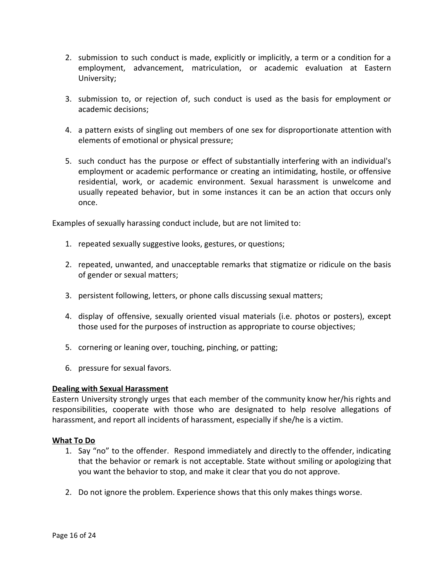- 2. submission to such conduct is made, explicitly or implicitly, a term or a condition for a employment, advancement, matriculation, or academic evaluation at Eastern University;
- 3. submission to, or rejection of, such conduct is used as the basis for employment or academic decisions;
- 4. a pattern exists of singling out members of one sex for disproportionate attention with elements of emotional or physical pressure;
- 5. such conduct has the purpose or effect of substantially interfering with an individual's employment or academic performance or creating an intimidating, hostile, or offensive residential, work, or academic environment. Sexual harassment is unwelcome and usually repeated behavior, but in some instances it can be an action that occurs only once.

Examples of sexually harassing conduct include, but are not limited to:

- 1. repeated sexually suggestive looks, gestures, or questions;
- 2. repeated, unwanted, and unacceptable remarks that stigmatize or ridicule on the basis of gender or sexual matters;
- 3. persistent following, letters, or phone calls discussing sexual matters;
- 4. display of offensive, sexually oriented visual materials (i.e. photos or posters), except those used for the purposes of instruction as appropriate to course objectives;
- 5. cornering or leaning over, touching, pinching, or patting;
- 6. pressure for sexual favors.

# **Dealing with Sexual Harassment**

Eastern University strongly urges that each member of the community know her/his rights and responsibilities, cooperate with those who are designated to help resolve allegations of harassment, and report all incidents of harassment, especially if she/he is a victim.

# **What To Do**

- 1. Say "no" to the offender. Respond immediately and directly to the offender, indicating that the behavior or remark is not acceptable. State without smiling or apologizing that you want the behavior to stop, and make it clear that you do not approve.
- 2. Do not ignore the problem. Experience shows that this only makes things worse.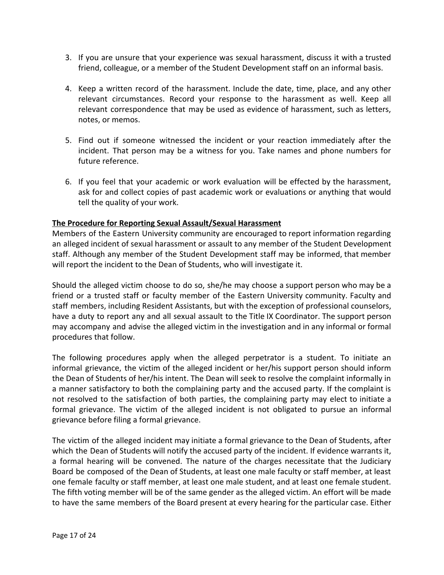- 3. If you are unsure that your experience was sexual harassment, discuss it with a trusted friend, colleague, or a member of the Student Development staff on an informal basis.
- 4. Keep a written record of the harassment. Include the date, time, place, and any other relevant circumstances. Record your response to the harassment as well. Keep all relevant correspondence that may be used as evidence of harassment, such as letters, notes, or memos.
- 5. Find out if someone witnessed the incident or your reaction immediately after the incident. That person may be a witness for you. Take names and phone numbers for future reference.
- 6. If you feel that your academic or work evaluation will be effected by the harassment, ask for and collect copies of past academic work or evaluations or anything that would tell the quality of your work.

# **The Procedure for Reporting Sexual Assault/Sexual Harassment**

Members of the Eastern University community are encouraged to report information regarding an alleged incident of sexual harassment or assault to any member of the Student Development staff. Although any member of the Student Development staff may be informed, that member will report the incident to the Dean of Students, who will investigate it.

Should the alleged victim choose to do so, she/he may choose a support person who may be a friend or a trusted staff or faculty member of the Eastern University community. Faculty and staff members, including Resident Assistants, but with the exception of professional counselors, have a duty to report any and all sexual assault to the Title IX Coordinator. The support person may accompany and advise the alleged victim in the investigation and in any informal or formal procedures that follow.

The following procedures apply when the alleged perpetrator is a student. To initiate an informal grievance, the victim of the alleged incident or her/his support person should inform the Dean of Students of her/his intent. The Dean will seek to resolve the complaint informally in a manner satisfactory to both the complaining party and the accused party. If the complaint is not resolved to the satisfaction of both parties, the complaining party may elect to initiate a formal grievance. The victim of the alleged incident is not obligated to pursue an informal grievance before filing a formal grievance.

The victim of the alleged incident may initiate a formal grievance to the Dean of Students, after which the Dean of Students will notify the accused party of the incident. If evidence warrants it, a formal hearing will be convened. The nature of the charges necessitate that the Judiciary Board be composed of the Dean of Students, at least one male faculty or staff member, at least one female faculty or staff member, at least one male student, and at least one female student. The fifth voting member will be of the same gender as the alleged victim. An effort will be made to have the same members of the Board present at every hearing for the particular case. Either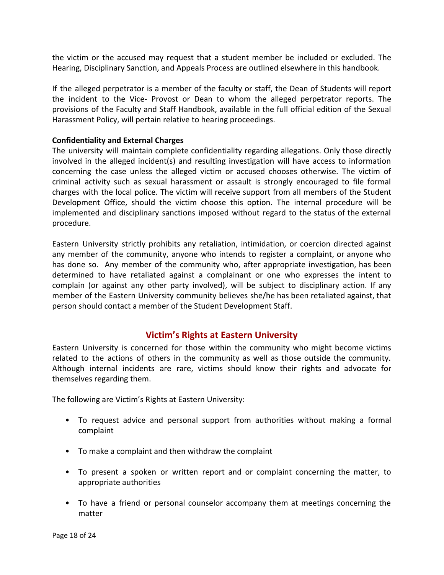the victim or the accused may request that a student member be included or excluded. The Hearing, Disciplinary Sanction, and Appeals Process are outlined elsewhere in this handbook.

If the alleged perpetrator is a member of the faculty or staff, the Dean of Students will report the incident to the Vice- Provost or Dean to whom the alleged perpetrator reports. The provisions of the Faculty and Staff Handbook, available in the full official edition of the Sexual Harassment Policy, will pertain relative to hearing proceedings.

#### **Confidentiality and External Charges**

The university will maintain complete confidentiality regarding allegations. Only those directly involved in the alleged incident(s) and resulting investigation will have access to information concerning the case unless the alleged victim or accused chooses otherwise. The victim of criminal activity such as sexual harassment or assault is strongly encouraged to file formal charges with the local police. The victim will receive support from all members of the Student Development Office, should the victim choose this option. The internal procedure will be implemented and disciplinary sanctions imposed without regard to the status of the external procedure.

Eastern University strictly prohibits any retaliation, intimidation, or coercion directed against any member of the community, anyone who intends to register a complaint, or anyone who has done so. Any member of the community who, after appropriate investigation, has been determined to have retaliated against a complainant or one who expresses the intent to complain (or against any other party involved), will be subject to disciplinary action. If any member of the Eastern University community believes she/he has been retaliated against, that person should contact a member of the Student Development Staff.

# **Victim's Rights at Eastern University**

Eastern University is concerned for those within the community who might become victims related to the actions of others in the community as well as those outside the community. Although internal incidents are rare, victims should know their rights and advocate for themselves regarding them.

The following are Victim's Rights at Eastern University:

- To request advice and personal support from authorities without making a formal complaint
- To make a complaint and then withdraw the complaint
- To present a spoken or written report and or complaint concerning the matter, to appropriate authorities
- To have a friend or personal counselor accompany them at meetings concerning the matter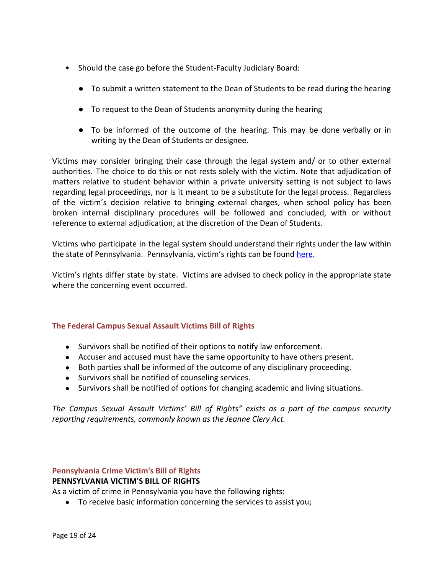- Should the case go before the Student-Faculty Judiciary Board:
	- To submit a written statement to the Dean of Students to be read during the hearing
	- To request to the Dean of Students anonymity during the hearing
	- To be informed of the outcome of the hearing. This may be done verbally or in writing by the Dean of Students or designee.

Victims may consider bringing their case through the legal system and/ or to other external authorities. The choice to do this or not rests solely with the victim. Note that adjudication of matters relative to student behavior within a private university setting is not subject to laws regarding legal proceedings, nor is it meant to be a substitute for the legal process. Regardless of the victim's decision relative to bringing external charges, when school policy has been broken internal disciplinary procedures will be followed and concluded, with or without reference to external adjudication, at the discretion of the Dean of Students.

Victims who participate in the legal system should understand their rights under the law within the state of Pennsylvania. Pennsylvania, victim's rights can be found [here](http://crime.about.com/od/victims/qt/victims_pa.htm).

Victim's rights differ state by state. Victims are advised to check policy in the appropriate state where the concerning event occurred.

# **The Federal Campus Sexual Assault Victims Bill of Rights**

- Survivors shall be notified of their options to notify law enforcement.
- Accuser and accused must have the same opportunity to have others present.
- Both parties shall be informed of the outcome of any disciplinary proceeding.
- Survivors shall be notified of counseling services.
- Survivors shall be notified of options for changing academic and living situations.

*The Campus Sexual Assault Victims' Bill of Rights" exists as a part of the campus security reporting requirements, commonly known as the Jeanne Clery Act.*

# **Pennsylvania Crime Victim's Bill of Rights PENNSYLVANIA VICTIM'S BILL OF RIGHTS**

As a victim of crime in Pennsylvania you have the following rights:

● To receive basic information concerning the services to assist you;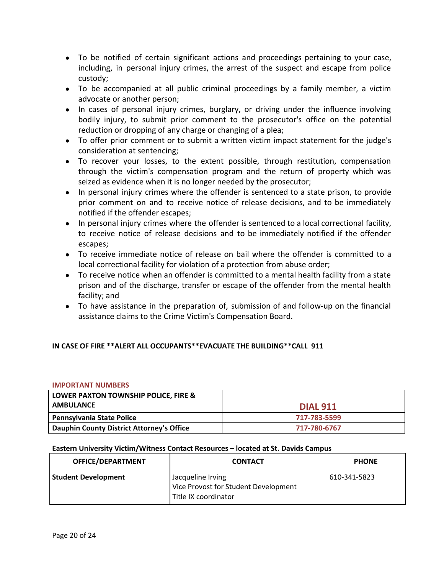- To be notified of certain significant actions and proceedings pertaining to your case, including, in personal injury crimes, the arrest of the suspect and escape from police custody;
- To be accompanied at all public criminal proceedings by a family member, a victim advocate or another person;
- In cases of personal injury crimes, burglary, or driving under the influence involving bodily injury, to submit prior comment to the prosecutor's office on the potential reduction or dropping of any charge or changing of a plea;
- To offer prior comment or to submit a written victim impact statement for the judge's consideration at sentencing;
- To recover your losses, to the extent possible, through restitution, compensation through the victim's compensation program and the return of property which was seized as evidence when it is no longer needed by the prosecutor;
- In personal injury crimes where the offender is sentenced to a state prison, to provide prior comment on and to receive notice of release decisions, and to be immediately notified if the offender escapes;
- In personal injury crimes where the offender is sentenced to a local correctional facility, to receive notice of release decisions and to be immediately notified if the offender escapes;
- To receive immediate notice of release on bail where the offender is committed to a local correctional facility for violation of a protection from abuse order;
- To receive notice when an offender is committed to a mental health facility from a state prison and of the discharge, transfer or escape of the offender from the mental health facility; and
- To have assistance in the preparation of, submission of and follow-up on the financial assistance claims to the Crime Victim's Compensation Board.

# **IN CASE OF FIRE \*\*ALERT ALL OCCUPANTS\*\*EVACUATE THE BUILDING\*\*CALL 911**

#### **IMPORTANT NUMBERS**

| LOWER PAXTON TOWNSHIP POLICE, FIRE &      |                 |
|-------------------------------------------|-----------------|
| <b>AMBULANCE</b>                          | <b>DIAL 911</b> |
| <b>Pennsylvania State Police</b>          | 717-783-5599    |
| Dauphin County District Attorney's Office | 717-780-6767    |

#### **Eastern University Victim/Witness Contact Resources – located at St. Davids Campus**

| OFFICE/DEPARTMENT          | <b>CONTACT</b>                                                                    | <b>PHONE</b> |
|----------------------------|-----------------------------------------------------------------------------------|--------------|
| <b>Student Development</b> | Jacqueline Irving<br>Vice Provost for Student Development<br>Title IX coordinator | 610-341-5823 |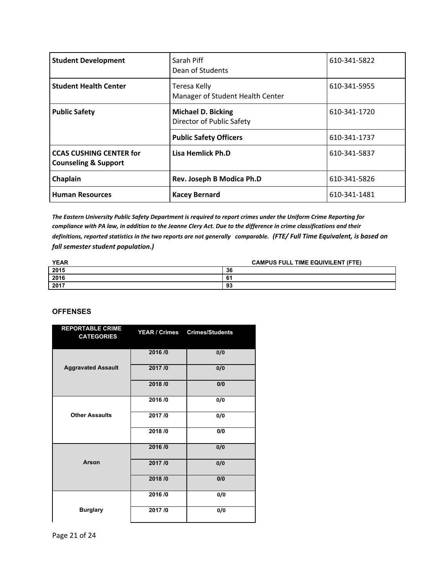| <b>Student Development</b>                                        | Sarah Piff<br>Dean of Students                         | 610-341-5822 |
|-------------------------------------------------------------------|--------------------------------------------------------|--------------|
| <b>Student Health Center</b>                                      | Teresa Kelly<br>Manager of Student Health Center       | 610-341-5955 |
| <b>Public Safety</b>                                              | <b>Michael D. Bicking</b><br>Director of Public Safety | 610-341-1720 |
|                                                                   | <b>Public Safety Officers</b>                          | 610-341-1737 |
| <b>CCAS CUSHING CENTER for</b><br><b>Counseling &amp; Support</b> | Lisa Hemlick Ph.D                                      | 610-341-5837 |
| Chaplain                                                          | Rev. Joseph B Modica Ph.D                              | 610-341-5826 |
| <b>Human Resources</b>                                            | <b>Kacey Bernard</b>                                   | 610-341-1481 |

*The Eastern University Public Safety Department is required to report crimes under the Uniform Crime Reporting for compliance with PA law, in addition to the Jeanne Clery Act. Due to the difference in crime classifications and their definitions, reported statistics in the two reports are not generally comparable. (FTE/ Full Time Equivalent, is based on fall semester student population.)*

| <b>YEAR</b> | <b>CAMPUS FULL TIME EQUIVILENT (FTE)</b> |
|-------------|------------------------------------------|
| 2015        | 36                                       |
| 2016        | е.<br>o.                                 |
| 2017        | 93                                       |

#### **OFFENSES**

| <b>REPORTABLE CRIME</b><br><b>CATEGORIES</b> | YEAR / Crimes | <b>Crimes/Students</b> |
|----------------------------------------------|---------------|------------------------|
|                                              | 2016/0        | 0/0                    |
| <b>Aggravated Assault</b>                    | 2017/0        | 0/0                    |
|                                              | 2018/0        | 0/0                    |
|                                              | 2016/0        | 0/0                    |
| <b>Other Assaults</b>                        | 2017/0        | 0/0                    |
|                                              | 2018/0        | 0/0                    |
|                                              | 2016/0        | 0/0                    |
| <b>Arson</b>                                 | 2017/0        | 0/0                    |
|                                              | 2018/0        | 0/0                    |
|                                              | 2016/0        | 0/0                    |
| <b>Burglary</b>                              | 2017/0        | 0/0                    |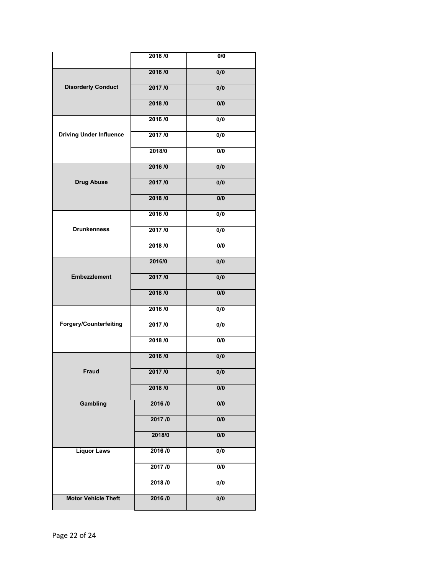|                                | 2018/0   | 0/0              |
|--------------------------------|----------|------------------|
|                                | 2016/0   | 0/0              |
| <b>Disorderly Conduct</b>      | 2017/0   | 0/0              |
|                                | 2018/0   | 0/0              |
|                                | 2016/0   | 0/0              |
| <b>Driving Under Influence</b> | 2017/0   | 0/0              |
|                                | 2018/0   | 0/0              |
|                                | 2016/0   | 0/0              |
| <b>Drug Abuse</b>              | 2017/0   | 0/0              |
|                                | 2018/0   | 0/0              |
|                                | 2016/0   | 0/0              |
| <b>Drunkenness</b>             | 2017/0   | 0/0              |
|                                | 2018 / 0 | 0/0              |
|                                | 2016/0   | 0/0              |
| <b>Embezzlement</b>            | 2017/0   | 0/0              |
|                                | 2018/0   | 0/0              |
|                                | 2016/0   | 0/0              |
| Forgery/Counterfeiting         | 2017/0   | 0/0              |
|                                | 2018 /0  | 0/0              |
|                                | 2016/0   | 0/0              |
| Fraud                          | 2017/0   | 0/0              |
|                                | 2018/0   | 0/0              |
| Gambling                       | 2016/0   | 0/0              |
|                                | 2017/0   | $\overline{0/0}$ |
|                                | 2018/0   | 0/0              |
| <b>Liquor Laws</b>             | 2016/0   | $\overline{0/0}$ |
|                                | 2017/0   | $\overline{0/0}$ |
|                                | 2018/0   | $\overline{0/0}$ |
| <b>Motor Vehicle Theft</b>     | 2016/0   | 0/0              |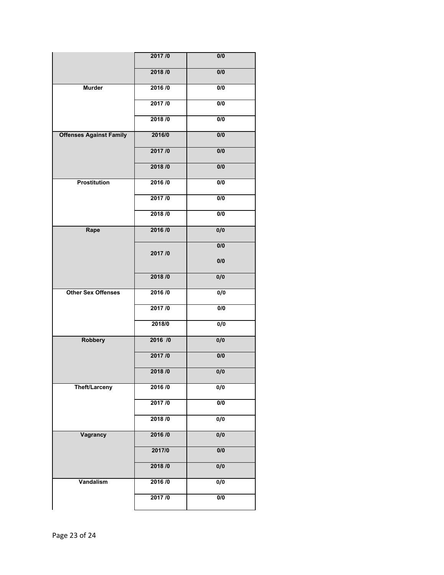|                                | 2017/0  | 0/0              |
|--------------------------------|---------|------------------|
|                                | 2018/0  | 0/0              |
| <b>Murder</b>                  | 2016/0  | 0/0              |
|                                | 2017/0  | $\overline{0/0}$ |
|                                | 2018/0  | 0/0              |
| <b>Offenses Against Family</b> | 2016/0  | $\overline{0/0}$ |
|                                | 2017/0  | 0/0              |
|                                | 2018/0  | $\overline{0/0}$ |
| <b>Prostitution</b>            | 2016/0  | 0/0              |
|                                | 2017/0  | 0/0              |
|                                | 2018/0  | $\overline{0/0}$ |
| Rape                           | 2016/0  | 0/0              |
|                                | 2017/0  | 0/0              |
|                                |         | 0/0              |
|                                | 2018/0  | 0/0              |
| <b>Other Sex Offenses</b>      | 2016/0  | $\overline{0/0}$ |
|                                | 2017/0  | $\overline{0/0}$ |
|                                | 2018/0  | 0/0              |
| <b>Robbery</b>                 | 2016 /0 | 0/0              |
|                                | 2017/0  | 0/0              |
|                                | 2018/0  | 0/0              |
| Theft/Larceny                  | 2016/0  | 0/0              |
|                                | 2017/0  | $\overline{0/0}$ |
|                                | 2018/0  | $\overline{0/0}$ |
| <b>Vagrancy</b>                | 2016/0  | 0/0              |
|                                | 2017/0  | $\overline{0/0}$ |
|                                | 2018/0  | 0/0              |
| Vandalism                      | 2016/0  | $\overline{0/0}$ |
|                                | 2017/0  | $\overline{0/0}$ |